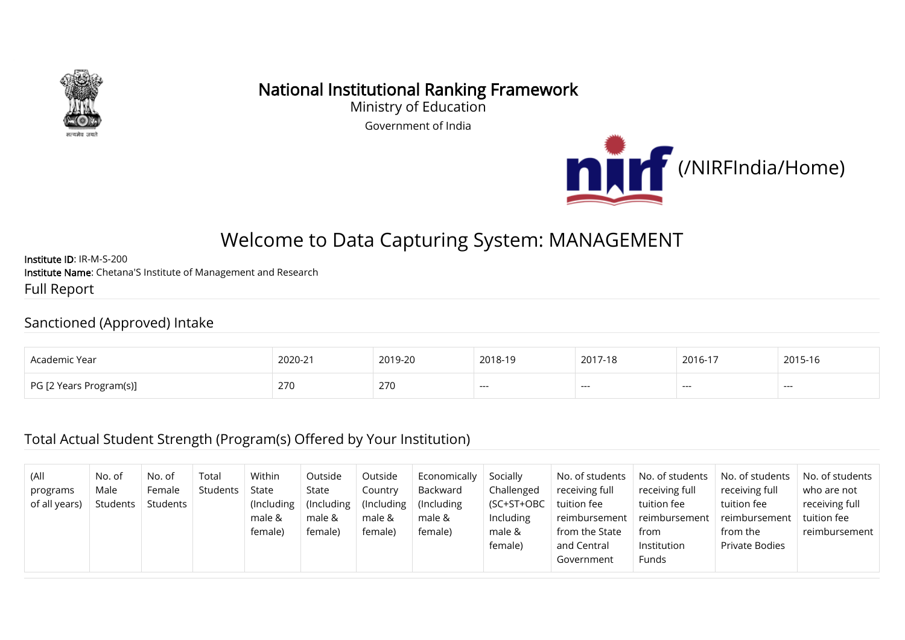

## National Institutional Ranking Framework

Ministry of Education Government of India



# Welcome to Data Capturing System: MANAGEMENT

Institute ID: IR-M-S-200 Institute Name: Chetana'S Institute of Management and Research Full Report

#### Sanctioned (Approved) Intake

| Arademir                                                | 2020-2                                          | 2019-20 | 2018-19                  | 2017-18 | $2016 -$ | 2015 |
|---------------------------------------------------------|-------------------------------------------------|---------|--------------------------|---------|----------|------|
| : Yeai                                                  | the contract of the contract of the contract of |         |                          |         |          |      |
| $\overline{C}$ PG $\overline{C}$<br>ا Years Program(s)] | 270                                             | 270     | $\overline{\phantom{a}}$ | $---$   | ---      | ---- |

#### Total Actual Student Strength (Program(s) Offered by Your Institution)

| (All<br>programs<br>of all years) | No. of<br>Male<br>Students | No. of<br>Female<br>Students | Total<br>Students | Within<br>State<br>(Including)<br>male &<br>female) | Outside<br>State<br>(Including)<br>male &<br>female) | Outside<br>Country<br>(Including)<br>male &<br>female) | Economically<br>Backward<br>(Including)<br>male &<br>female) | Socially<br>Challenged<br>(SC+ST+OBC<br>Including<br>male &<br>female) | No. of students<br>receiving full<br>tuition fee<br>reimbursement<br>from the State<br>and Central<br>Government | No. of students<br>receiving full<br>tuition fee<br>reimbursement<br>from<br>Institution<br>Funds | No. of students<br>receiving full<br>tuition fee<br>reimbursement<br>from the<br>Private Bodies | No. of students<br>who are not<br>receiving full<br>tuition fee<br>reimbursement |
|-----------------------------------|----------------------------|------------------------------|-------------------|-----------------------------------------------------|------------------------------------------------------|--------------------------------------------------------|--------------------------------------------------------------|------------------------------------------------------------------------|------------------------------------------------------------------------------------------------------------------|---------------------------------------------------------------------------------------------------|-------------------------------------------------------------------------------------------------|----------------------------------------------------------------------------------|
|-----------------------------------|----------------------------|------------------------------|-------------------|-----------------------------------------------------|------------------------------------------------------|--------------------------------------------------------|--------------------------------------------------------------|------------------------------------------------------------------------|------------------------------------------------------------------------------------------------------------------|---------------------------------------------------------------------------------------------------|-------------------------------------------------------------------------------------------------|----------------------------------------------------------------------------------|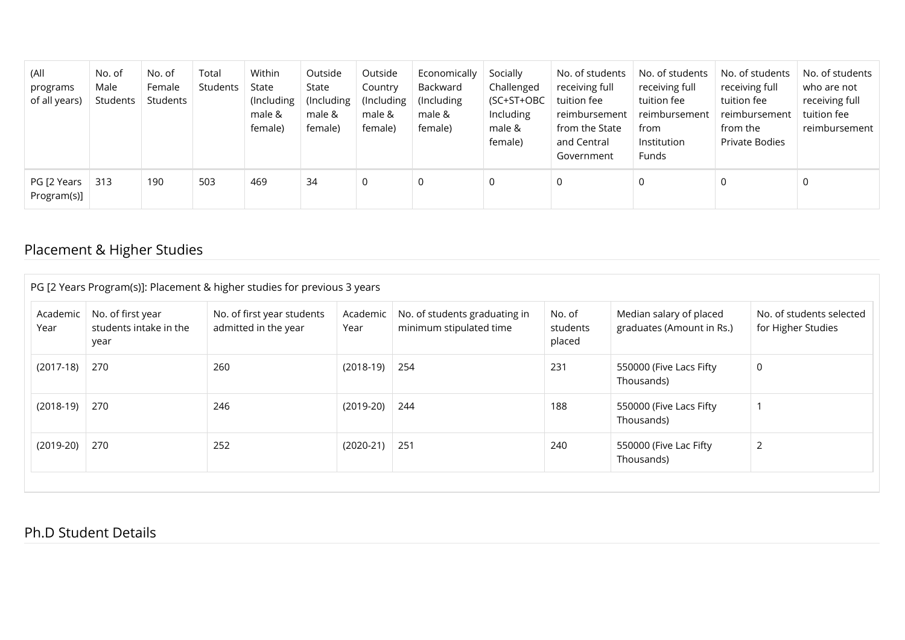| (All<br>programs<br>of all years) | No. of<br>Male<br>Students | No. of<br>Female<br>Students | Total<br>Students | Within<br>State<br>(Including<br>male &<br>female) | Outside<br>State<br>(Including)<br>male &<br>female) | Outside<br>Country<br>(Including<br>male &<br>female) | Economically<br>Backward<br>(Including)<br>male &<br>female) | Socially<br>Challenged<br>(SC+ST+OBC<br>Including<br>male &<br>female) | No. of students<br>receiving full<br>tuition fee<br>reimbursement<br>from the State<br>and Central<br>Government | No. of students<br>receiving full<br>tuition fee<br>reimbursement<br>from<br>Institution<br><b>Funds</b> | No. of students<br>receiving full<br>tuition fee<br>reimbursement<br>from the<br>Private Bodies | No. of students<br>who are not<br>receiving full<br>tuition fee<br>reimbursement |
|-----------------------------------|----------------------------|------------------------------|-------------------|----------------------------------------------------|------------------------------------------------------|-------------------------------------------------------|--------------------------------------------------------------|------------------------------------------------------------------------|------------------------------------------------------------------------------------------------------------------|----------------------------------------------------------------------------------------------------------|-------------------------------------------------------------------------------------------------|----------------------------------------------------------------------------------|
| PG [2 Years<br>Program(s)]        | 313                        | 190                          | 503               | 469                                                | 34                                                   | 0                                                     | 0                                                            | 0                                                                      | 0                                                                                                                | $\Omega$                                                                                                 | 0                                                                                               | 0                                                                                |

### Placement & Higher Studies

|                  |                                                     | PG [2 Years Program(s)]: Placement & higher studies for previous 3 years |                  |                                                          |                              |                                                      |                                                |
|------------------|-----------------------------------------------------|--------------------------------------------------------------------------|------------------|----------------------------------------------------------|------------------------------|------------------------------------------------------|------------------------------------------------|
| Academic<br>Year | No. of first year<br>students intake in the<br>year | No. of first year students<br>admitted in the year                       | Academic<br>Year | No. of students graduating in<br>minimum stipulated time | No. of<br>students<br>placed | Median salary of placed<br>graduates (Amount in Rs.) | No. of students selected<br>for Higher Studies |
| $(2017-18)$      | 270                                                 | 260                                                                      | (2018-19)        | 254                                                      | 231                          | 550000 (Five Lacs Fifty<br>Thousands)                | 0                                              |
| $(2018-19)$      | 270                                                 | 246                                                                      | $(2019-20)$      | 244                                                      | 188                          | 550000 (Five Lacs Fifty<br>Thousands)                |                                                |
| $(2019-20)$      | 270                                                 | 252                                                                      | $(2020-21)$      | 251                                                      | 240                          | 550000 (Five Lac Fifty<br>Thousands)                 |                                                |

#### Ph.D Student Details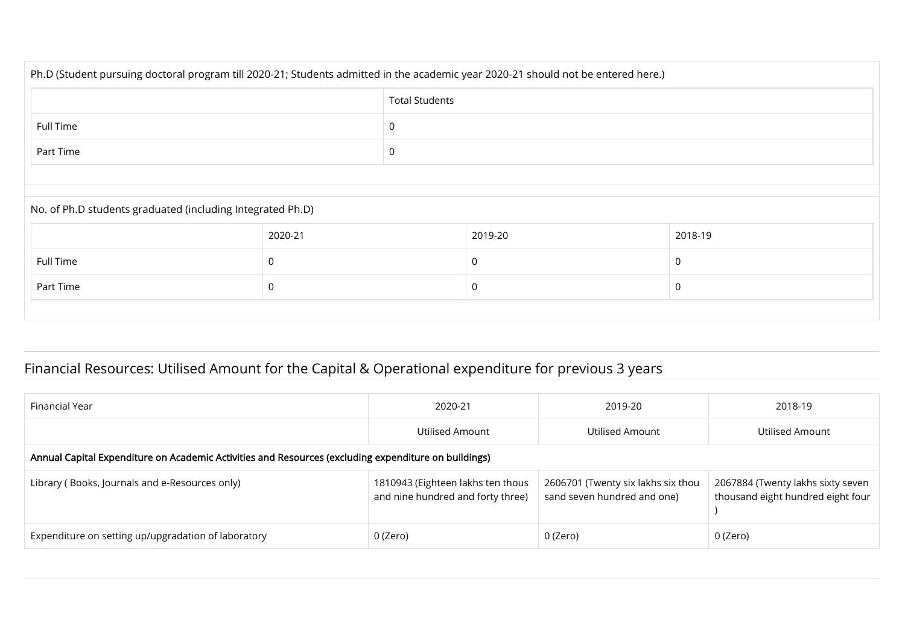| Ph.D (Student pursuing doctoral program till 2020-21; Students admitted in the academic year 2020-21 should not be entered here.) |                       |  |         |         |  |  |
|-----------------------------------------------------------------------------------------------------------------------------------|-----------------------|--|---------|---------|--|--|
|                                                                                                                                   | <b>Total Students</b> |  |         |         |  |  |
| Full Time                                                                                                                         |                       |  |         |         |  |  |
| Part Time                                                                                                                         | $\Omega$              |  |         |         |  |  |
|                                                                                                                                   |                       |  |         |         |  |  |
| No. of Ph.D students graduated (including Integrated Ph.D)                                                                        |                       |  |         |         |  |  |
|                                                                                                                                   | 2020-21               |  | 2019-20 | 2018-19 |  |  |
| Full Time                                                                                                                         | $\mathbf 0$           |  | 0       | 0       |  |  |
| Part Time                                                                                                                         | 0                     |  |         | C       |  |  |
|                                                                                                                                   |                       |  |         |         |  |  |

## Financial Resources: Utilised Amount for the Capital & Operational expenditure for previous 3 years

| Financial Year                                                                                       | 2020-21                                                                | 2019-20                                                           | 2018-19                                                                |  |  |  |
|------------------------------------------------------------------------------------------------------|------------------------------------------------------------------------|-------------------------------------------------------------------|------------------------------------------------------------------------|--|--|--|
|                                                                                                      | Utilised Amount                                                        | Utilised Amount                                                   | Utilised Amount                                                        |  |  |  |
| Annual Capital Expenditure on Academic Activities and Resources (excluding expenditure on buildings) |                                                                        |                                                                   |                                                                        |  |  |  |
| Library (Books, Journals and e-Resources only)                                                       | 1810943 (Eighteen lakhs ten thous<br>and nine hundred and forty three) | 2606701 (Twenty six lakhs six thou<br>sand seven hundred and one) | 2067884 (Twenty lakhs sixty seven<br>thousand eight hundred eight four |  |  |  |
| Expenditure on setting up/upgradation of laboratory                                                  | 0 (Zero)                                                               | 0 (Zero)                                                          | 0 (Zero)                                                               |  |  |  |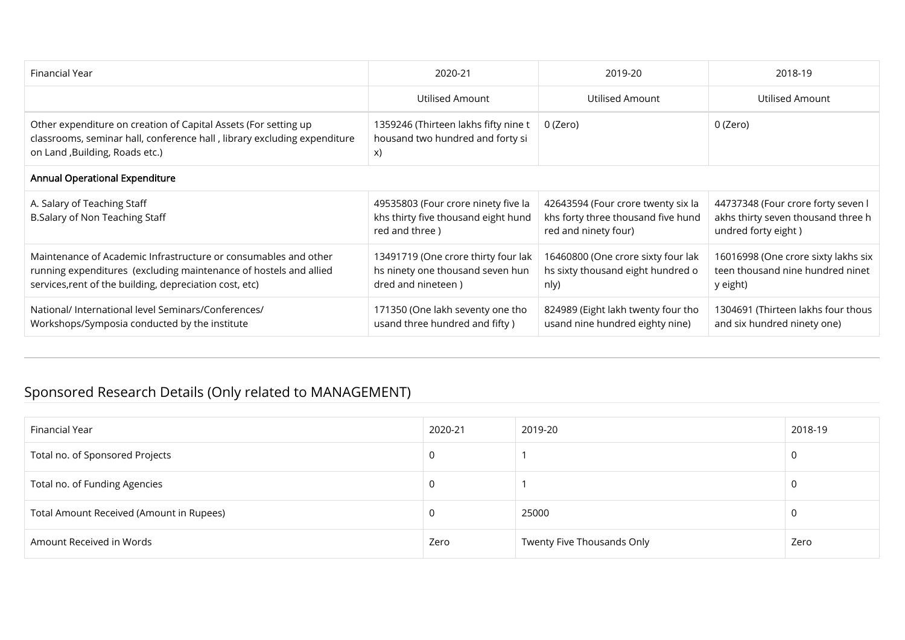| Financial Year                                                                                                                                                                                  | 2020-21                                                                                       | 2019-20                                                                                          | 2018-19                                                                                         |  |  |  |  |
|-------------------------------------------------------------------------------------------------------------------------------------------------------------------------------------------------|-----------------------------------------------------------------------------------------------|--------------------------------------------------------------------------------------------------|-------------------------------------------------------------------------------------------------|--|--|--|--|
|                                                                                                                                                                                                 | Utilised Amount                                                                               | Utilised Amount                                                                                  | Utilised Amount                                                                                 |  |  |  |  |
| Other expenditure on creation of Capital Assets (For setting up<br>classrooms, seminar hall, conference hall, library excluding expenditure<br>on Land , Building, Roads etc.)                  | 1359246 (Thirteen lakhs fifty nine t<br>housand two hundred and forty si<br>X)                | 0 (Zero)                                                                                         | 0 (Zero)                                                                                        |  |  |  |  |
| <b>Annual Operational Expenditure</b>                                                                                                                                                           |                                                                                               |                                                                                                  |                                                                                                 |  |  |  |  |
| A. Salary of Teaching Staff<br>B.Salary of Non Teaching Staff                                                                                                                                   | 49535803 (Four crore ninety five la<br>khs thirty five thousand eight hund<br>red and three)  | 42643594 (Four crore twenty six la<br>khs forty three thousand five hund<br>red and ninety four) | 44737348 (Four crore forty seven l<br>akhs thirty seven thousand three h<br>undred forty eight) |  |  |  |  |
| Maintenance of Academic Infrastructure or consumables and other<br>running expenditures (excluding maintenance of hostels and allied<br>services, rent of the building, depreciation cost, etc) | 13491719 (One crore thirty four lak<br>hs ninety one thousand seven hun<br>dred and nineteen) | 16460800 (One crore sixty four lak<br>hs sixty thousand eight hundred o<br>nly)                  | 16016998 (One crore sixty lakhs six<br>teen thousand nine hundred ninet<br>y eight)             |  |  |  |  |
| National/ International level Seminars/Conferences/<br>Workshops/Symposia conducted by the institute                                                                                            | 171350 (One lakh seventy one tho<br>usand three hundred and fifty)                            | 824989 (Eight lakh twenty four tho<br>usand nine hundred eighty nine)                            | 1304691 (Thirteen lakhs four thous<br>and six hundred ninety one)                               |  |  |  |  |

### Sponsored Research Details (Only related to MANAGEMENT)

| Financial Year                           | 2020-21 | 2019-20                    | 2018-19 |
|------------------------------------------|---------|----------------------------|---------|
| Total no. of Sponsored Projects          | 0       |                            |         |
| Total no. of Funding Agencies            | 0       |                            |         |
| Total Amount Received (Amount in Rupees) | 0       | 25000                      |         |
| Amount Received in Words                 | Zero    | Twenty Five Thousands Only | Zero    |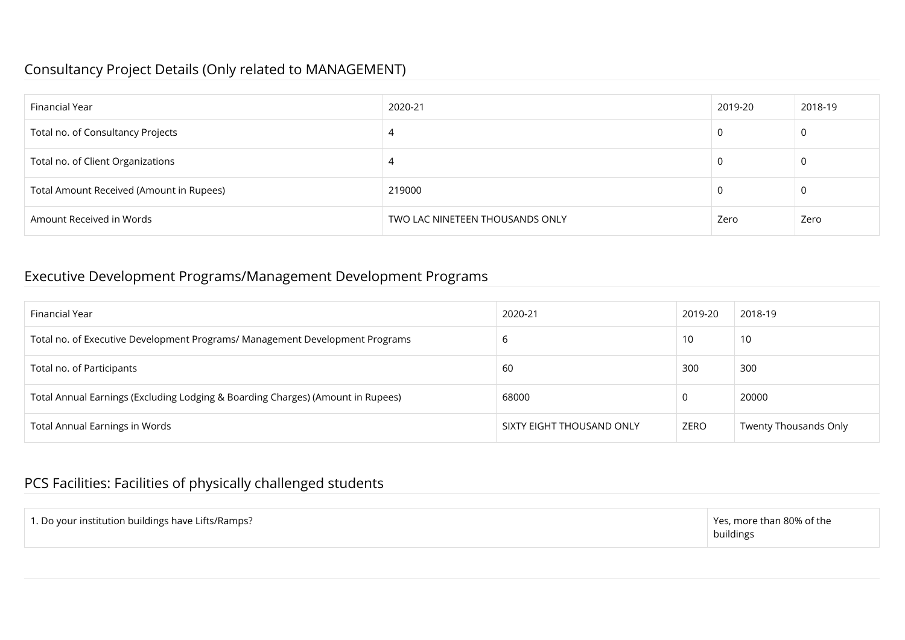#### Consultancy Project Details (Only related to MANAGEMENT)

| Financial Year                           | 2020-21                         | 2019-20 | 2018-19 |
|------------------------------------------|---------------------------------|---------|---------|
| Total no. of Consultancy Projects        |                                 |         |         |
| Total no. of Client Organizations        |                                 |         |         |
| Total Amount Received (Amount in Rupees) | 219000                          |         |         |
| Amount Received in Words                 | TWO LAC NINETEEN THOUSANDS ONLY | Zero    | Zero    |

#### Executive Development Programs/Management Development Programs

| Financial Year                                                                  | 2020-21                   | 2019-20  | 2018-19                      |
|---------------------------------------------------------------------------------|---------------------------|----------|------------------------------|
| Total no. of Executive Development Programs/ Management Development Programs    | b                         | 10       | 10                           |
| Total no. of Participants                                                       | 60                        | 300      | 300                          |
| Total Annual Earnings (Excluding Lodging & Boarding Charges) (Amount in Rupees) | 68000                     | $\Omega$ | 20000                        |
| <b>Total Annual Earnings in Words</b>                                           | SIXTY EIGHT THOUSAND ONLY | ZERO     | <b>Twenty Thousands Only</b> |

### PCS Facilities: Facilities of physically challenged students

| 1. Do your institution buildings have Lifts/Ramps? | $\perp$ Yes, more than 80% of the<br>buildings |
|----------------------------------------------------|------------------------------------------------|
|                                                    |                                                |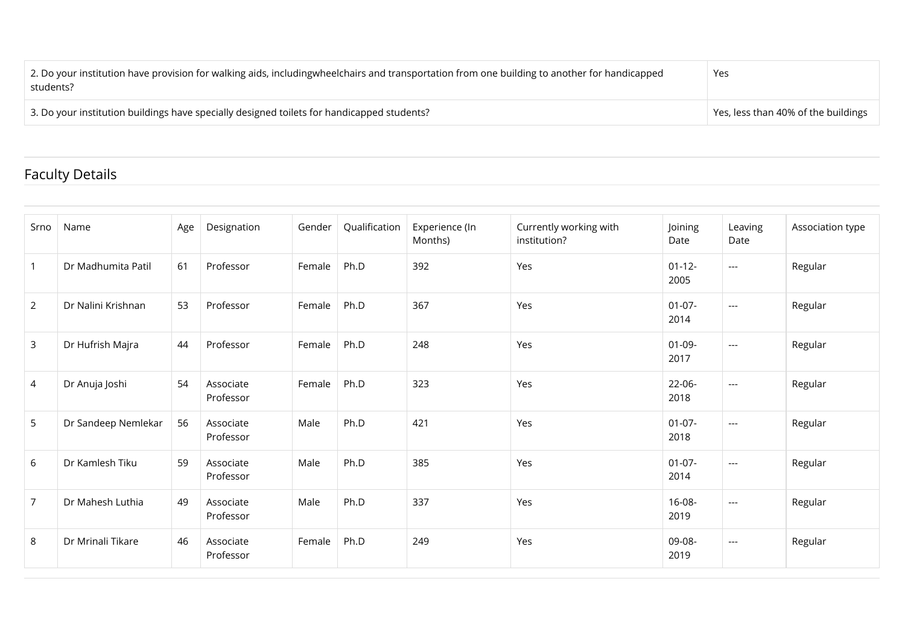| 2. Do your institution have provision for walking aids, includingwheelchairs and transportation from one building to another for handicapped<br>students? | Yes                                         |
|-----------------------------------------------------------------------------------------------------------------------------------------------------------|---------------------------------------------|
| 3. Do your institution buildings have specially designed toilets for handicapped students?                                                                | $\perp$ Yes, less than 40% of the buildings |

### Faculty Details

| Srno           | Name                | Age | Designation            | Gender | Qualification | Experience (In<br>Months) | Currently working with<br>institution? | Joining<br>Date     | Leaving<br>Date | Association type |
|----------------|---------------------|-----|------------------------|--------|---------------|---------------------------|----------------------------------------|---------------------|-----------------|------------------|
| $\overline{1}$ | Dr Madhumita Patil  | 61  | Professor              | Female | Ph.D          | 392                       | Yes                                    | $01 - 12 -$<br>2005 | $---$           | Regular          |
| $2^{\circ}$    | Dr Nalini Krishnan  | 53  | Professor              | Female | Ph.D          | 367                       | Yes                                    | $01-07-$<br>2014    | $---$           | Regular          |
| 3              | Dr Hufrish Majra    | 44  | Professor              | Female | Ph.D          | 248                       | Yes                                    | $01-09-$<br>2017    | $---$           | Regular          |
| 4              | Dr Anuja Joshi      | 54  | Associate<br>Professor | Female | Ph.D          | 323                       | Yes                                    | 22-06-<br>2018      | $---$           | Regular          |
| 5              | Dr Sandeep Nemlekar | 56  | Associate<br>Professor | Male   | Ph.D          | 421                       | Yes                                    | $01 - 07 -$<br>2018 | $---$           | Regular          |
| 6              | Dr Kamlesh Tiku     | 59  | Associate<br>Professor | Male   | Ph.D          | 385                       | Yes                                    | $01-07-$<br>2014    | $---$           | Regular          |
| $\overline{7}$ | Dr Mahesh Luthia    | 49  | Associate<br>Professor | Male   | Ph.D          | 337                       | Yes                                    | 16-08-<br>2019      | $---$           | Regular          |
| 8              | Dr Mrinali Tikare   | 46  | Associate<br>Professor | Female | Ph.D          | 249                       | Yes                                    | 09-08-<br>2019      | $---$           | Regular          |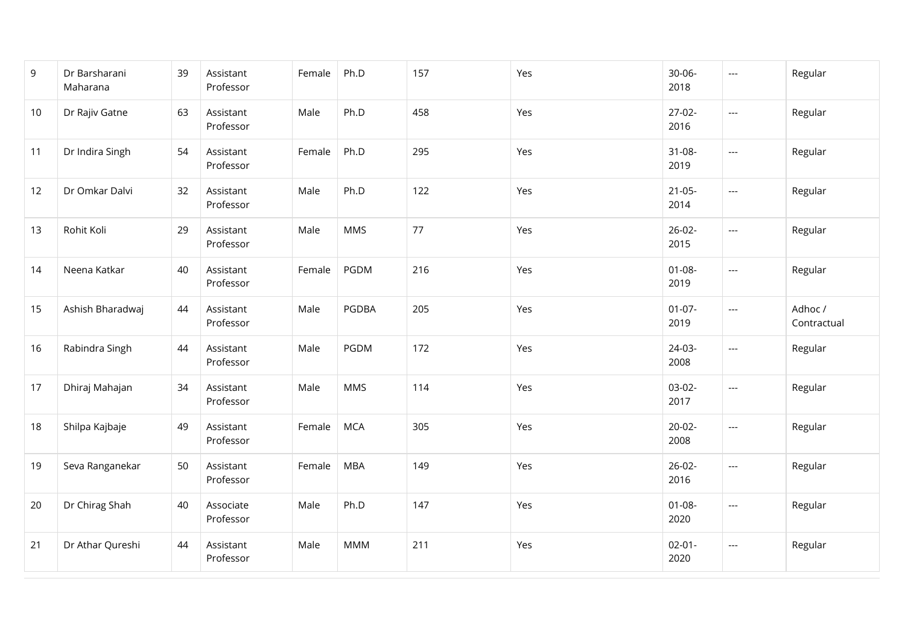| 9  | Dr Barsharani<br>Maharana | 39 | Assistant<br>Professor | Female | Ph.D       | 157 | Yes | $30 - 06 -$<br>2018 | $\hspace{0.05cm} \ldots$          | Regular                |
|----|---------------------------|----|------------------------|--------|------------|-----|-----|---------------------|-----------------------------------|------------------------|
| 10 | Dr Rajiv Gatne            | 63 | Assistant<br>Professor | Male   | Ph.D       | 458 | Yes | $27-02-$<br>2016    | $\hspace{0.05cm} \ldots$          | Regular                |
| 11 | Dr Indira Singh           | 54 | Assistant<br>Professor | Female | Ph.D       | 295 | Yes | $31-08-$<br>2019    | $\hspace{0.05cm} \ldots$          | Regular                |
| 12 | Dr Omkar Dalvi            | 32 | Assistant<br>Professor | Male   | Ph.D       | 122 | Yes | $21 - 05 -$<br>2014 | $\hspace{0.05cm} \ldots$          | Regular                |
| 13 | Rohit Koli                | 29 | Assistant<br>Professor | Male   | <b>MMS</b> | 77  | Yes | $26-02-$<br>2015    | $\overline{\phantom{a}}$          | Regular                |
| 14 | Neena Katkar              | 40 | Assistant<br>Professor | Female | PGDM       | 216 | Yes | $01 - 08 -$<br>2019 | $\scriptstyle\cdots$              | Regular                |
| 15 | Ashish Bharadwaj          | 44 | Assistant<br>Professor | Male   | PGDBA      | 205 | Yes | $01 - 07 -$<br>2019 | $\hspace{0.05cm} \ldots$          | Adhoc /<br>Contractual |
| 16 | Rabindra Singh            | 44 | Assistant<br>Professor | Male   | PGDM       | 172 | Yes | 24-03-<br>2008      | $\hspace{0.05cm} \dashrightarrow$ | Regular                |
| 17 | Dhiraj Mahajan            | 34 | Assistant<br>Professor | Male   | <b>MMS</b> | 114 | Yes | $03-02-$<br>2017    | $\overline{\phantom{a}}$          | Regular                |
| 18 | Shilpa Kajbaje            | 49 | Assistant<br>Professor | Female | <b>MCA</b> | 305 | Yes | $20-02-$<br>2008    | $\scriptstyle\cdots$              | Regular                |
| 19 | Seva Ranganekar           | 50 | Assistant<br>Professor | Female | <b>MBA</b> | 149 | Yes | $26-02-$<br>2016    | $\scriptstyle\cdots$              | Regular                |
| 20 | Dr Chirag Shah            | 40 | Associate<br>Professor | Male   | Ph.D       | 147 | Yes | $01 - 08 -$<br>2020 | $\hspace{0.05cm} \ldots$          | Regular                |
| 21 | Dr Athar Qureshi          | 44 | Assistant<br>Professor | Male   | <b>MMM</b> | 211 | Yes | $02 - 01 -$<br>2020 | $\hspace{0.05cm} \ldots$          | Regular                |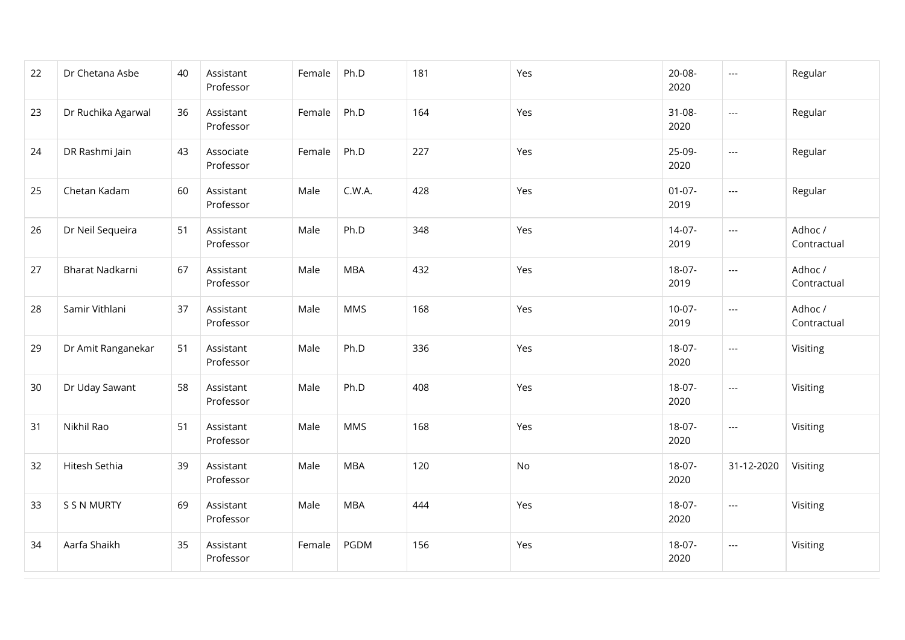| 22 | Dr Chetana Asbe        | 40 | Assistant<br>Professor | Female | Ph.D       | 181 | Yes | 20-08-<br>2020      | $\hspace{0.05cm} \ldots$          | Regular                |
|----|------------------------|----|------------------------|--------|------------|-----|-----|---------------------|-----------------------------------|------------------------|
| 23 | Dr Ruchika Agarwal     | 36 | Assistant<br>Professor | Female | Ph.D       | 164 | Yes | $31 - 08 -$<br>2020 | $---$                             | Regular                |
| 24 | DR Rashmi Jain         | 43 | Associate<br>Professor | Female | Ph.D       | 227 | Yes | 25-09-<br>2020      | $\hspace{0.05cm} \ldots$          | Regular                |
| 25 | Chetan Kadam           | 60 | Assistant<br>Professor | Male   | C.W.A.     | 428 | Yes | $01 - 07 -$<br>2019 | $\hspace{0.05cm} \ldots$          | Regular                |
| 26 | Dr Neil Sequeira       | 51 | Assistant<br>Professor | Male   | Ph.D       | 348 | Yes | $14-07-$<br>2019    | $\hspace{0.05cm} \ldots$          | Adhoc /<br>Contractual |
| 27 | <b>Bharat Nadkarni</b> | 67 | Assistant<br>Professor | Male   | <b>MBA</b> | 432 | Yes | 18-07-<br>2019      | $--$                              | Adhoc /<br>Contractual |
| 28 | Samir Vithlani         | 37 | Assistant<br>Professor | Male   | <b>MMS</b> | 168 | Yes | $10-07-$<br>2019    | $\hspace{0.05cm} \ldots$          | Adhoc /<br>Contractual |
| 29 | Dr Amit Ranganekar     | 51 | Assistant<br>Professor | Male   | Ph.D       | 336 | Yes | 18-07-<br>2020      | $\hspace{0.05cm} \ldots$          | Visiting               |
| 30 | Dr Uday Sawant         | 58 | Assistant<br>Professor | Male   | Ph.D       | 408 | Yes | 18-07-<br>2020      | $\hspace{0.05cm} \ldots$          | Visiting               |
| 31 | Nikhil Rao             | 51 | Assistant<br>Professor | Male   | <b>MMS</b> | 168 | Yes | 18-07-<br>2020      | $\hspace{0.05cm} \ldots$          | Visiting               |
| 32 | Hitesh Sethia          | 39 | Assistant<br>Professor | Male   | <b>MBA</b> | 120 | No  | 18-07-<br>2020      | 31-12-2020                        | Visiting               |
| 33 | S S N MURTY            | 69 | Assistant<br>Professor | Male   | <b>MBA</b> | 444 | Yes | 18-07-<br>2020      | $\hspace{0.05cm} \ldots$          | Visiting               |
| 34 | Aarfa Shaikh           | 35 | Assistant<br>Professor | Female | PGDM       | 156 | Yes | 18-07-<br>2020      | $\hspace{0.05cm} \dashrightarrow$ | Visiting               |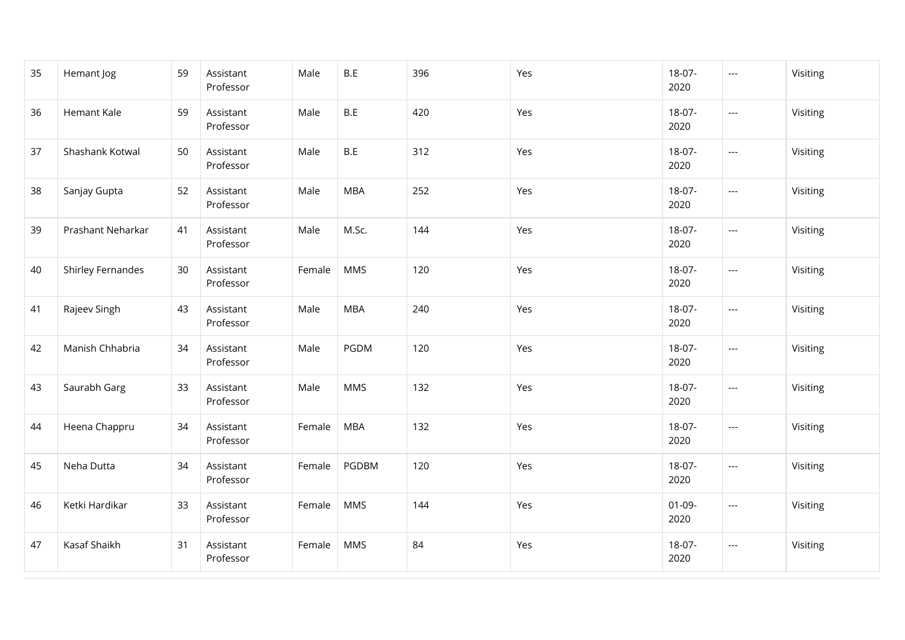| 35 | Hemant Jog        | 59 | Assistant<br>Professor | Male   | B.E        | 396 | Yes | 18-07-<br>2020      | $\hspace{0.05cm} \ldots$ | Visiting |
|----|-------------------|----|------------------------|--------|------------|-----|-----|---------------------|--------------------------|----------|
| 36 | Hemant Kale       | 59 | Assistant<br>Professor | Male   | B.E        | 420 | Yes | 18-07-<br>2020      | $\hspace{0.05cm} \ldots$ | Visiting |
| 37 | Shashank Kotwal   | 50 | Assistant<br>Professor | Male   | B.E        | 312 | Yes | 18-07-<br>2020      | $--$                     | Visiting |
| 38 | Sanjay Gupta      | 52 | Assistant<br>Professor | Male   | <b>MBA</b> | 252 | Yes | 18-07-<br>2020      | $\hspace{0.05cm} \ldots$ | Visiting |
| 39 | Prashant Neharkar | 41 | Assistant<br>Professor | Male   | M.Sc.      | 144 | Yes | 18-07-<br>2020      | $\hspace{0.05cm} \ldots$ | Visiting |
| 40 | Shirley Fernandes | 30 | Assistant<br>Professor | Female | <b>MMS</b> | 120 | Yes | 18-07-<br>2020      | $\hspace{0.05cm} \ldots$ | Visiting |
| 41 | Rajeev Singh      | 43 | Assistant<br>Professor | Male   | <b>MBA</b> | 240 | Yes | 18-07-<br>2020      | $\hspace{0.05cm} \ldots$ | Visiting |
| 42 | Manish Chhabria   | 34 | Assistant<br>Professor | Male   | PGDM       | 120 | Yes | 18-07-<br>2020      | $\hspace{0.05cm} \ldots$ | Visiting |
| 43 | Saurabh Garg      | 33 | Assistant<br>Professor | Male   | <b>MMS</b> | 132 | Yes | 18-07-<br>2020      | $\hspace{0.05cm} \ldots$ | Visiting |
| 44 | Heena Chappru     | 34 | Assistant<br>Professor | Female | <b>MBA</b> | 132 | Yes | 18-07-<br>2020      | $\scriptstyle\cdots$     | Visiting |
| 45 | Neha Dutta        | 34 | Assistant<br>Professor | Female | PGDBM      | 120 | Yes | 18-07-<br>2020      | $\hspace{0.05cm} \ldots$ | Visiting |
| 46 | Ketki Hardikar    | 33 | Assistant<br>Professor | Female | <b>MMS</b> | 144 | Yes | $01 - 09 -$<br>2020 | $\hspace{0.05cm} \ldots$ | Visiting |
| 47 | Kasaf Shaikh      | 31 | Assistant<br>Professor | Female | <b>MMS</b> | 84  | Yes | 18-07-<br>2020      | $\hspace{0.05cm} \ldots$ | Visiting |